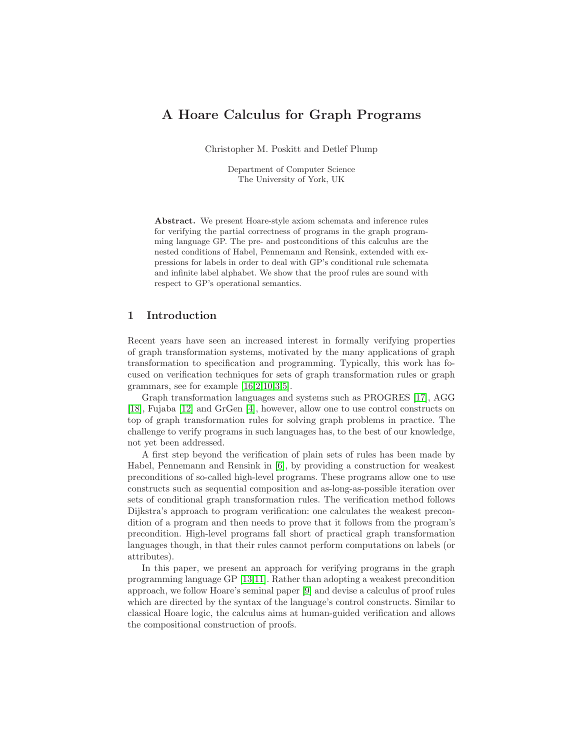# A Hoare Calculus for Graph Programs

Christopher M. Poskitt and Detlef Plump

Department of Computer Science The University of York, UK

Abstract. We present Hoare-style axiom schemata and inference rules for verifying the partial correctness of programs in the graph programming language GP. The pre- and postconditions of this calculus are the nested conditions of Habel, Pennemann and Rensink, extended with expressions for labels in order to deal with GP's conditional rule schemata and infinite label alphabet. We show that the proof rules are sound with respect to GP's operational semantics.

## 1 Introduction

Recent years have seen an increased interest in formally verifying properties of graph transformation systems, motivated by the many applications of graph transformation to specification and programming. Typically, this work has focused on verification techniques for sets of graph transformation rules or graph grammars, see for example [\[16](#page-15-0)[,2,](#page-14-0)[10](#page-15-1)[,3](#page-14-1)[,5\]](#page-14-2).

Graph transformation languages and systems such as PROGRES [\[17\]](#page-15-2), AGG [\[18\]](#page-15-3), Fujaba [\[12\]](#page-15-4) and GrGen [\[4\]](#page-14-3), however, allow one to use control constructs on top of graph transformation rules for solving graph problems in practice. The challenge to verify programs in such languages has, to the best of our knowledge, not yet been addressed.

A first step beyond the verification of plain sets of rules has been made by Habel, Pennemann and Rensink in [\[6\]](#page-15-5), by providing a construction for weakest preconditions of so-called high-level programs. These programs allow one to use constructs such as sequential composition and as-long-as-possible iteration over sets of conditional graph transformation rules. The verification method follows Dijkstra's approach to program verification: one calculates the weakest precondition of a program and then needs to prove that it follows from the program's precondition. High-level programs fall short of practical graph transformation languages though, in that their rules cannot perform computations on labels (or attributes).

In this paper, we present an approach for verifying programs in the graph programming language GP [\[13,](#page-15-6)[11\]](#page-15-7). Rather than adopting a weakest precondition approach, we follow Hoare's seminal paper [\[9\]](#page-15-8) and devise a calculus of proof rules which are directed by the syntax of the language's control constructs. Similar to classical Hoare logic, the calculus aims at human-guided verification and allows the compositional construction of proofs.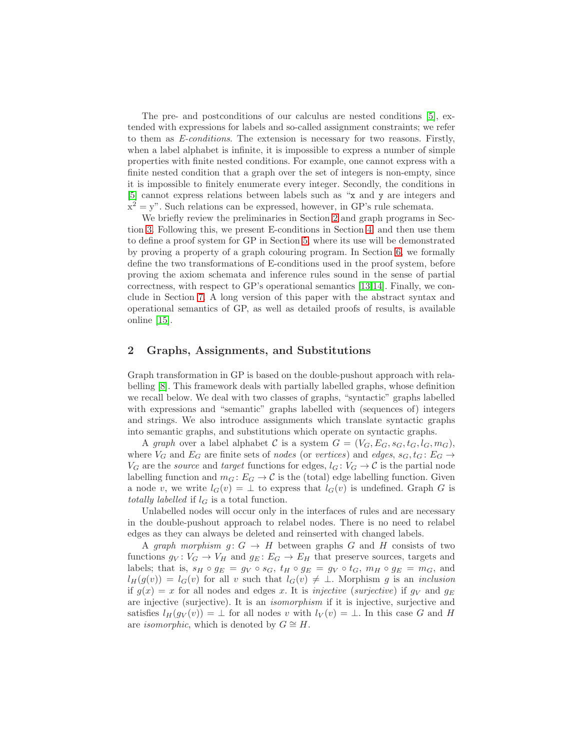The pre- and postconditions of our calculus are nested conditions [\[5\]](#page-14-2), extended with expressions for labels and so-called assignment constraints; we refer to them as E-conditions. The extension is necessary for two reasons. Firstly, when a label alphabet is infinite, it is impossible to express a number of simple properties with finite nested conditions. For example, one cannot express with a finite nested condition that a graph over the set of integers is non-empty, since it is impossible to finitely enumerate every integer. Secondly, the conditions in [\[5\]](#page-14-2) cannot express relations between labels such as "x and y are integers and  $x^2 = y$ ". Such relations can be expressed, however, in GP's rule schemata.

We briefly review the preliminaries in Section [2](#page-1-0) and graph programs in Section [3.](#page-3-0) Following this, we present E-conditions in Section [4,](#page-5-0) and then use them to define a proof system for GP in Section [5,](#page-7-0) where its use will be demonstrated by proving a property of a graph colouring program. In Section [6,](#page-9-0) we formally define the two transformations of E-conditions used in the proof system, before proving the axiom schemata and inference rules sound in the sense of partial correctness, with respect to GP's operational semantics [\[13,](#page-15-6)[14\]](#page-15-9). Finally, we conclude in Section [7.](#page-14-4) A long version of this paper with the abstract syntax and operational semantics of GP, as well as detailed proofs of results, is available online [\[15\]](#page-15-10).

### <span id="page-1-0"></span>2 Graphs, Assignments, and Substitutions

Graph transformation in GP is based on the double-pushout approach with relabelling [\[8\]](#page-15-11). This framework deals with partially labelled graphs, whose definition we recall below. We deal with two classes of graphs, "syntactic" graphs labelled with expressions and "semantic" graphs labelled with (sequences of) integers and strings. We also introduce assignments which translate syntactic graphs into semantic graphs, and substitutions which operate on syntactic graphs.

A graph over a label alphabet C is a system  $G = (V_G, E_G, s_G, t_G, l_G, m_G)$ , where  $V_G$  and  $E_G$  are finite sets of nodes (or vertices) and edges,  $s_G, t_G : E_G \rightarrow$  $V_G$  are the *source* and *target* functions for edges,  $l_G: V_G \to \mathcal{C}$  is the partial node labelling function and  $m_G : E_G \to \mathcal{C}$  is the (total) edge labelling function. Given a node v, we write  $l_G(v) = \perp$  to express that  $l_G(v)$  is undefined. Graph G is totally labelled if  $l_G$  is a total function.

Unlabelled nodes will occur only in the interfaces of rules and are necessary in the double-pushout approach to relabel nodes. There is no need to relabel edges as they can always be deleted and reinserted with changed labels.

A graph morphism  $g: G \to H$  between graphs G and H consists of two functions  $g_V: V_G \to V_H$  and  $g_E: E_G \to E_H$  that preserve sources, targets and labels; that is,  $s_H \circ g_E = g_V \circ s_G$ ,  $t_H \circ g_E = g_V \circ t_G$ ,  $m_H \circ g_E = m_G$ , and  $l_H(g(v)) = l_G(v)$  for all v such that  $l_G(v) \neq \perp$ . Morphism g is an inclusion if  $g(x) = x$  for all nodes and edges x. It is *injective* (*surjective*) if  $g_V$  and  $g_E$ are injective (surjective). It is an isomorphism if it is injective, surjective and satisfies  $l_H(g_V(v)) = \perp$  for all nodes v with  $l_V(v) = \perp$ . In this case G and H are *isomorphic*, which is denoted by  $G \cong H$ .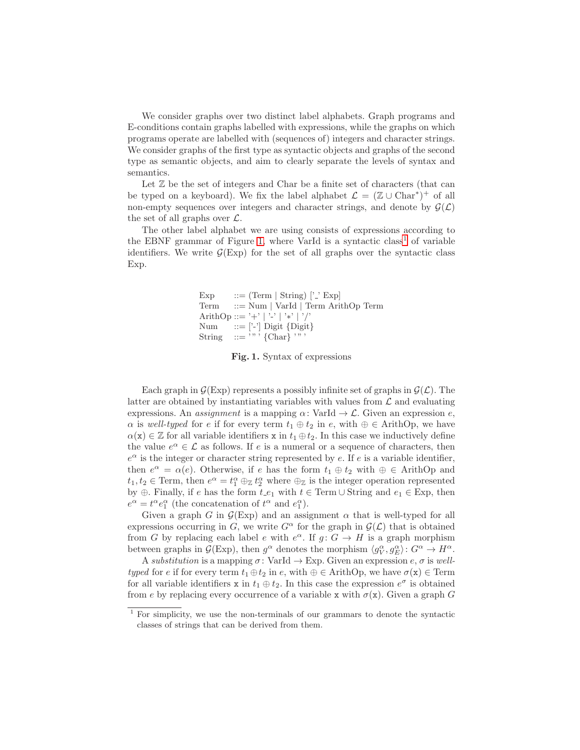We consider graphs over two distinct label alphabets. Graph programs and E-conditions contain graphs labelled with expressions, while the graphs on which programs operate are labelled with (sequences of) integers and character strings. We consider graphs of the first type as syntactic objects and graphs of the second type as semantic objects, and aim to clearly separate the levels of syntax and semantics.

Let  $\mathbb Z$  be the set of integers and Char be a finite set of characters (that can be typed on a keyboard). We fix the label alphabet  $\mathcal{L} = (\mathbb{Z} \cup \text{Char}^*)^+$  of all non-empty sequences over integers and character strings, and denote by  $\mathcal{G}(\mathcal{L})$ the set of all graphs over  $\mathcal{L}$ .

The other label alphabet we are using consists of expressions according to the EBNF grammar of Figure [1,](#page-2-0) where VarId is a syntactic class<sup>[1](#page-2-1)</sup> of variable identifiers. We write  $\mathcal{G}(Exp)$  for the set of all graphs over the syntactic class Exp.

```
Exp ::=(\text{Term} | \text{String}) ['.' Exp]
Term ::= Num | VarId | Term ArithOp Term
ArithOp ::= '+' | '-' | '*' | '/'
Num  ::= ['-'] Digit {Digit}
String ::= ", {(\text{Char})}"
```
<span id="page-2-0"></span>Fig. 1. Syntax of expressions

Each graph in  $\mathcal{G}(Exp)$  represents a possibly infinite set of graphs in  $\mathcal{G}(\mathcal{L})$ . The latter are obtained by instantiating variables with values from  $\mathcal L$  and evaluating expressions. An *assignment* is a mapping  $\alpha$ : VarId  $\rightarrow \mathcal{L}$ . Given an expression e,  $\alpha$  is well-typed for e if for every term  $t_1 \oplus t_2$  in e, with  $\oplus \in$  ArithOp, we have  $\alpha(\mathbf{x}) \in \mathbb{Z}$  for all variable identifiers x in  $t_1 \oplus t_2$ . In this case we inductively define the value  $e^{\alpha} \in \mathcal{L}$  as follows. If e is a numeral or a sequence of characters, then  $e^{\alpha}$  is the integer or character string represented by e. If e is a variable identifier, then  $e^{\alpha} = \alpha(e)$ . Otherwise, if e has the form  $t_1 \oplus t_2$  with  $\oplus \in$  ArithOp and  $t_1, t_2 \in \text{Term}$ , then  $e^{\alpha} = t_1^{\alpha} \oplus_{\mathbb{Z}} t_2^{\alpha}$  where  $\oplus_{\mathbb{Z}}$  is the integer operation represented by ⊕. Finally, if e has the form  $t.e_1$  with  $t \in \text{Term} \cup \text{String}$  and  $e_1 \in \text{Exp}$ , then  $e^{\alpha} = t^{\alpha} e_1^{\alpha}$  (the concatenation of  $t^{\alpha}$  and  $e_1^{\alpha}$ ).

Given a graph G in  $\mathcal{G}(\mathrm{Exp})$  and an assignment  $\alpha$  that is well-typed for all expressions occurring in G, we write  $G^{\alpha}$  for the graph in  $\mathcal{G}(\mathcal{L})$  that is obtained from G by replacing each label e with  $e^{\alpha}$ . If  $g: G \to H$  is a graph morphism between graphs in  $\mathcal{G}(\text{Exp})$ , then  $g^{\alpha}$  denotes the morphism  $\langle g_V^{\alpha}, g_E^{\alpha} \rangle$ :  $G^{\alpha} \to H^{\alpha}$ .

A substitution is a mapping  $\sigma$ : VarId  $\rightarrow$  Exp. Given an expression  $e, \sigma$  is welltyped for e if for every term  $t_1 \oplus t_2$  in e, with  $\oplus \in$  ArithOp, we have  $\sigma(\mathbf{x}) \in \text{Term}$ for all variable identifiers **x** in  $t_1 \oplus t_2$ . In this case the expression  $e^{\sigma}$  is obtained from e by replacing every occurrence of a variable x with  $\sigma(\mathbf{x})$ . Given a graph G

<span id="page-2-1"></span><sup>1</sup> For simplicity, we use the non-terminals of our grammars to denote the syntactic classes of strings that can be derived from them.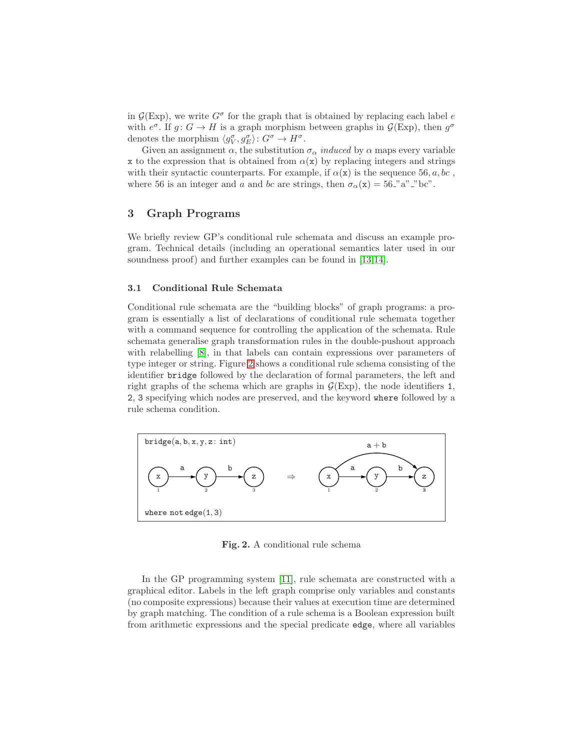in  $\mathcal{G}(\mathrm{Exp})$ , we write  $G^{\sigma}$  for the graph that is obtained by replacing each label e with  $e^{\sigma}$ . If  $g: G \to H$  is a graph morphism between graphs in  $\mathcal{G}(\text{Exp})$ , then  $g^{\sigma}$ denotes the morphism  $\langle g_V^{\sigma}, g_E^{\sigma} \rangle \colon G^{\sigma} \to H^{\sigma}$ .

Given an assignment  $\alpha$ , the substitution  $\sigma_{\alpha}$  *induced* by  $\alpha$  maps every variable x to the expression that is obtained from  $\alpha(x)$  by replacing integers and strings with their syntactic counterparts. For example, if  $\alpha(\mathbf{x})$  is the sequence 56, a, bc, where 56 is an integer and a and bc are strings, then  $\sigma_{\alpha}(\mathbf{x}) = 56\degree$ " a"  $\degree$ " bc".

## <span id="page-3-0"></span>3 Graph Programs

We briefly review GP's conditional rule schemata and discuss an example program. Technical details (including an operational semantics later used in our soundness proof) and further examples can be found in [\[13,](#page-15-6)[14\]](#page-15-9).

#### 3.1 Conditional Rule Schemata

Conditional rule schemata are the "building blocks" of graph programs: a program is essentially a list of declarations of conditional rule schemata together with a command sequence for controlling the application of the schemata. Rule schemata generalise graph transformation rules in the double-pushout approach with relabelling [\[8\]](#page-15-11), in that labels can contain expressions over parameters of type integer or string. Figure [2](#page-3-1) shows a conditional rule schema consisting of the identifier bridge followed by the declaration of formal parameters, the left and right graphs of the schema which are graphs in  $\mathcal{G}(Exp)$ , the node identifiers 1, 2, 3 specifying which nodes are preserved, and the keyword where followed by a rule schema condition.



<span id="page-3-1"></span>Fig. 2. A conditional rule schema

In the GP programming system [\[11\]](#page-15-7), rule schemata are constructed with a graphical editor. Labels in the left graph comprise only variables and constants (no composite expressions) because their values at execution time are determined by graph matching. The condition of a rule schema is a Boolean expression built from arithmetic expressions and the special predicate edge, where all variables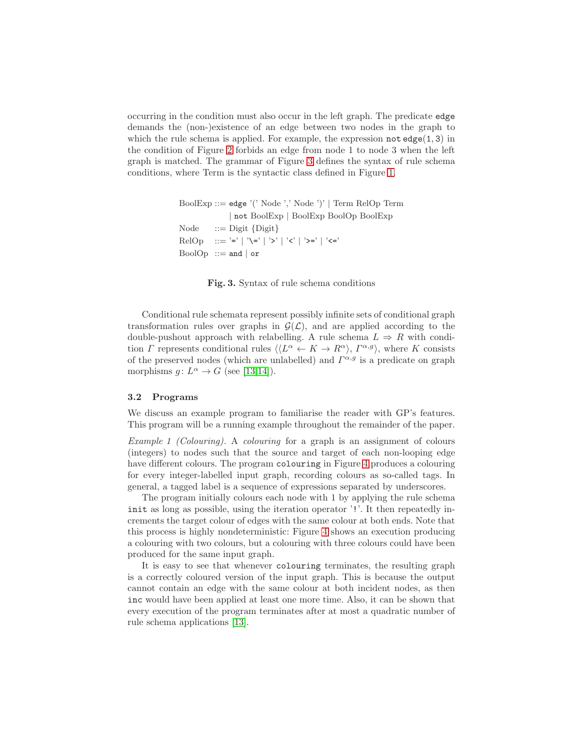occurring in the condition must also occur in the left graph. The predicate edge demands the (non-)existence of an edge between two nodes in the graph to which the rule schema is applied. For example, the expression not  $edge(1, 3)$  in the condition of Figure [2](#page-3-1) forbids an edge from node 1 to node 3 when the left graph is matched. The grammar of Figure [3](#page-4-0) defines the syntax of rule schema conditions, where Term is the syntactic class defined in Figure [1.](#page-2-0)

```
BoolExp ::= edge '(' Node ',' Node ')' | Term RelOp Term
            | not BoolExp | BoolExp BoolOp BoolExp
Node  ::= Digit {Digit}
RelOp := '=' | ' \ '>' | '<' | '>=' | '<='
BoolOp ::= and | or
```
<span id="page-4-0"></span>Fig. 3. Syntax of rule schema conditions

Conditional rule schemata represent possibly infinite sets of conditional graph transformation rules over graphs in  $\mathcal{G}(\mathcal{L})$ , and are applied according to the double-pushout approach with relabelling. A rule schema  $L \Rightarrow R$  with condition  $\Gamma$  represents conditional rules  $\langle\langle L^{\alpha} \leftarrow K \rightarrow R^{\alpha} \rangle, \Gamma^{\alpha,g} \rangle$ , where K consists of the preserved nodes (which are unlabelled) and  $\Gamma^{\alpha,g}$  is a predicate on graph morphisms  $g: L^{\alpha} \to G$  (see [\[13](#page-15-6)[,14\]](#page-15-9)).

#### 3.2 Programs

We discuss an example program to familiarise the reader with GP's features. This program will be a running example throughout the remainder of the paper.

Example 1 (Colouring). A colouring for a graph is an assignment of colours (integers) to nodes such that the source and target of each non-looping edge have different colours. The program colouring in Figure [4](#page-5-1) produces a colouring for every integer-labelled input graph, recording colours as so-called tags. In general, a tagged label is a sequence of expressions separated by underscores.

The program initially colours each node with 1 by applying the rule schema init as long as possible, using the iteration operator '!'. It then repeatedly increments the target colour of edges with the same colour at both ends. Note that this process is highly nondeterministic: Figure [4](#page-5-1) shows an execution producing a colouring with two colours, but a colouring with three colours could have been produced for the same input graph.

It is easy to see that whenever colouring terminates, the resulting graph is a correctly coloured version of the input graph. This is because the output cannot contain an edge with the same colour at both incident nodes, as then inc would have been applied at least one more time. Also, it can be shown that every execution of the program terminates after at most a quadratic number of rule schema applications [\[13\]](#page-15-6).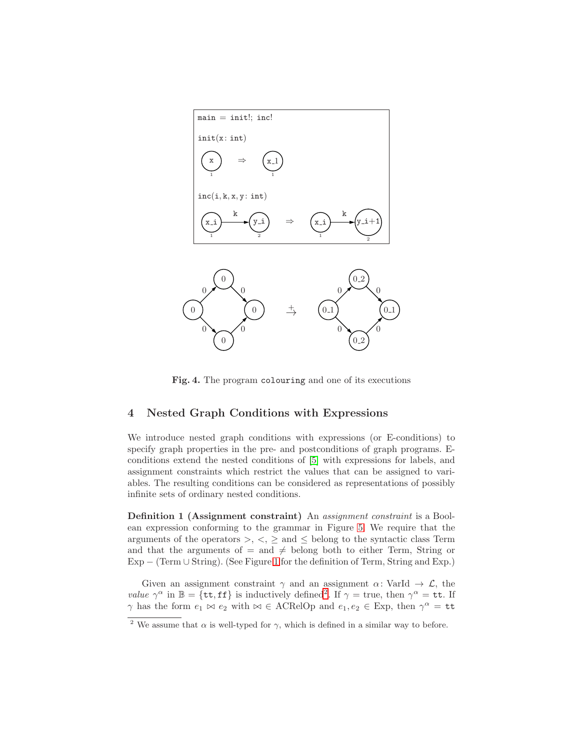

<span id="page-5-1"></span>Fig. 4. The program colouring and one of its executions

## <span id="page-5-0"></span>4 Nested Graph Conditions with Expressions

We introduce nested graph conditions with expressions (or E-conditions) to specify graph properties in the pre- and postconditions of graph programs. Econditions extend the nested conditions of [\[5\]](#page-14-2) with expressions for labels, and assignment constraints which restrict the values that can be assigned to variables. The resulting conditions can be considered as representations of possibly infinite sets of ordinary nested conditions.

Definition 1 (Assignment constraint) An assignment constraint is a Boolean expression conforming to the grammar in Figure [5.](#page-6-0) We require that the arguments of the operators  $\geq, \leq, \geq$  and  $\leq$  belong to the syntactic class Term and that the arguments of  $=$  and  $\neq$  belong both to either Term, String or  $Exp - (Term \cup String)$ . (See Figure [1](#page-2-0) for the definition of Term, String and Exp.)

Given an assignment constraint  $\gamma$  and an assignment  $\alpha$ : VarId  $\rightarrow \mathcal{L}$ , the *value*  $\gamma^{\alpha}$  in  $\mathbb{B} = {\text{tt}, \text{ff}}$  is inductively defined<sup>[2](#page-5-2)</sup>. If  $\gamma = \text{true}$ , then  $\gamma^{\alpha} = \text{tt}$ . If  $\gamma$  has the form  $e_1 \bowtie e_2$  with  $\bowtie \in$  ACRelOp and  $e_1, e_2 \in \text{Exp}$ , then  $\gamma^{\alpha} = \texttt{tt}$ 

<span id="page-5-2"></span><sup>&</sup>lt;sup>2</sup> We assume that  $\alpha$  is well-typed for  $\gamma$ , which is defined in a similar way to before.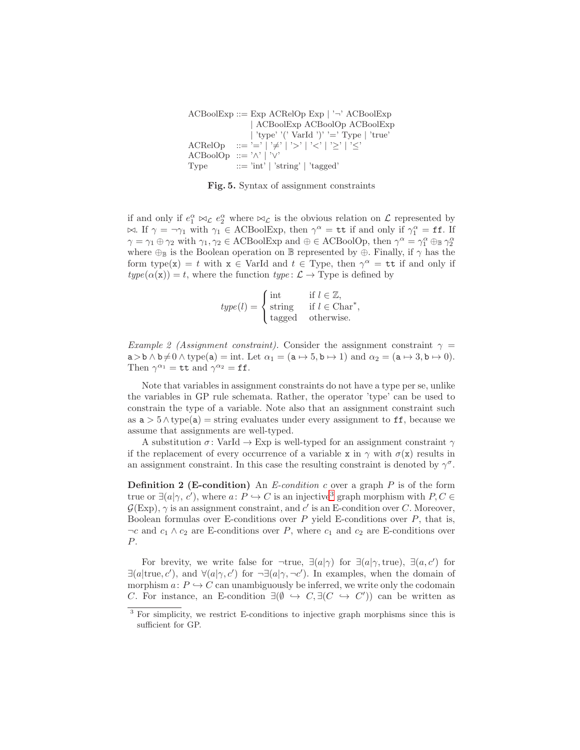$ACBoolExp ::= Exp ACRelOp Exp | '¬' ACBoolExp$ | ACBoolExp ACBoolOp ACBoolExp | 'type' '(' VarId ')' '=' Type | 'true' ACRelOp  $::= '=' | ' \neq ' | ' >' | ' <' | ' \geq ' | ' \leq '$ ACBoolOp  $::= ' \wedge ' | ' \vee '$ Type  $::=$  'int' | 'string' | 'tagged'

<span id="page-6-0"></span>Fig. 5. Syntax of assignment constraints

if and only if  $e_1^{\alpha} \bowtie_{\mathcal{L}} e_2^{\alpha}$  where  $\bowtie_{\mathcal{L}}$  is the obvious relation on  $\mathcal{L}$  represented by  $\bowtie$ . If  $\gamma = \neg \gamma_1$  with  $\gamma_1 \in \text{ACBoolExp}$ , then  $\gamma^{\alpha} = \texttt{tt}$  if and only if  $\gamma_1^{\alpha} = \texttt{ff}$ . If  $\gamma = \gamma_1 \oplus \gamma_2$  with  $\gamma_1, \gamma_2 \in \text{ACBoolExp}$  and  $\oplus \in \text{ACBoolOp}$ , then  $\gamma^{\alpha} = \gamma_1^{\alpha} \oplus_{\mathbb{B}} \gamma_2^{\alpha}$ where  $\oplus_{\mathbb{B}}$  is the Boolean operation on  $\mathbb{B}$  represented by  $\oplus$ . Finally, if  $\gamma$  has the form type(x) = t with  $x \in \text{VarId}$  and  $t \in \text{Type}$ , then  $\gamma^{\alpha} = \text{tt}$  if and only if  $type(\alpha(\mathbf{x})) = t$ , where the function  $type: \mathcal{L} \rightarrow Type$  is defined by

$$
type(l) = \begin{cases} \text{int} & \text{if } l \in \mathbb{Z}, \\ \text{string} & \text{if } l \in \text{Char}^*, \\ \text{tagged} & \text{otherwise.} \end{cases}
$$

Example 2 (Assignment constraint). Consider the assignment constraint  $\gamma =$  $a > b \land b \neq 0 \land type(a) = int.$  Let  $\alpha_1 = (a \mapsto 5, b \mapsto 1)$  and  $\alpha_2 = (a \mapsto 3, b \mapsto 0)$ . Then  $\gamma^{\alpha_1} = \mathtt{tt}$  and  $\gamma^{\alpha_2} = \mathtt{ff}$ .

Note that variables in assignment constraints do not have a type per se, unlike the variables in GP rule schemata. Rather, the operator 'type' can be used to constrain the type of a variable. Note also that an assignment constraint such as  $a > 5 \wedge \text{type}(a) = \text{string evaluates under every assignment to } \text{ff}$ , because we assume that assignments are well-typed.

A substitution  $\sigma$ : VarId  $\rightarrow$  Exp is well-typed for an assignment constraint  $\gamma$ if the replacement of every occurrence of a variable x in  $\gamma$  with  $\sigma(x)$  results in an assignment constraint. In this case the resulting constraint is denoted by  $\gamma^{\sigma}$ .

**Definition 2 (E-condition)** An *E-condition c* over a graph  $P$  is of the form true or  $\exists (a|\gamma, c')$ , where  $a: P \hookrightarrow C$  is an injective<sup>[3](#page-6-1)</sup> graph morphism with  $P, C \in$  $\mathcal{G}(\mathrm{Exp})$ ,  $\gamma$  is an assignment constraint, and c' is an E-condition over C. Moreover, Boolean formulas over E-conditions over  $P$  yield E-conditions over  $P$ , that is,  $\neg c$  and  $c_1 \wedge c_2$  are E-conditions over P, where  $c_1$  and  $c_2$  are E-conditions over P.

For brevity, we write false for  $\neg$ true,  $\exists (a|\gamma)$  for  $\exists (a|\gamma, \text{true})$ ,  $\exists (a, c')$  for  $\exists (a | \text{true}, c')$ , and  $\forall (a | \gamma, c')$  for  $\neg \exists (a | \gamma, \neg c')$ . In examples, when the domain of morphism  $a: P \hookrightarrow C$  can unambiguously be inferred, we write only the codomain C. For instance, an E-condition  $\exists(\emptyset \leftrightarrow C, \exists(C \leftrightarrow C'))$  can be written as

<span id="page-6-1"></span><sup>&</sup>lt;sup>3</sup> For simplicity, we restrict E-conditions to injective graph morphisms since this is sufficient for GP.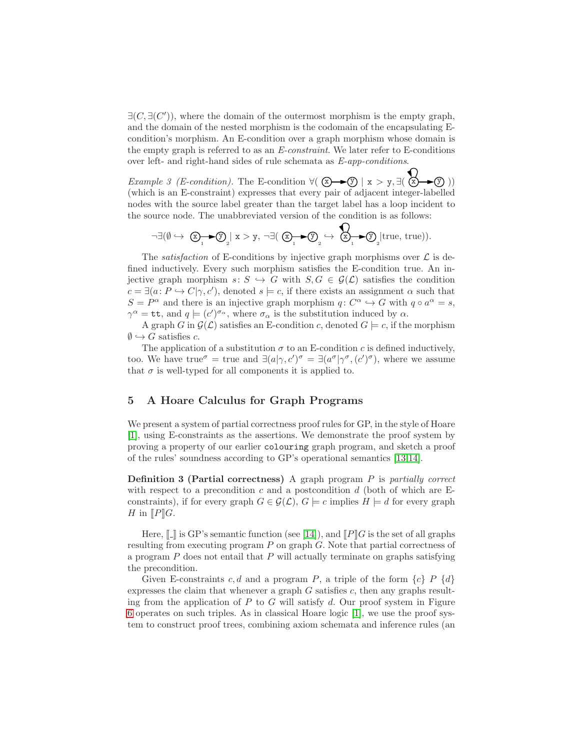$\exists (C, \exists (C'))$ , where the domain of the outermost morphism is the empty graph, and the domain of the nested morphism is the codomain of the encapsulating Econdition's morphism. An E-condition over a graph morphism whose domain is the empty graph is referred to as an  $E$ -constraint. We later refer to  $E$ -conditions over left- and right-hand sides of rule schemata as E-app-conditions.

Example 3 (E-condition). The E-condition  $\forall (\circled{x \rightarrow \circled{y} | x > y, \exists (\circled{x \rightarrow \circled{y}}))$ (which is an E-constraint) expresses that every pair of adjacent integer-labelled nodes with the source label greater than the target label has a loop incident to the source node. The unabbreviated version of the condition is as follows:

$$
\neg \exists (\emptyset \hookrightarrow \text{ } \textcircled{x_1} \blacktriangleright \textcircled{y_2} | x > y, \neg \exists (\text{ } \textcircled{x_1} \blacktriangleright \textcircled{y_2} \hookrightarrow \text{ } \textcircled{x_1} \blacktriangleright \textcircled{y_2} | true, true)).
$$

The *satisfaction* of E-conditions by injective graph morphisms over  $\mathcal L$  is defined inductively. Every such morphism satisfies the E-condition true. An injective graph morphism  $s: S \hookrightarrow G$  with  $S, G \in \mathcal{G}(\mathcal{L})$  satisfies the condition  $c = \exists (a: P \hookrightarrow C | \gamma, c'),$  denoted  $s \models c$ , if there exists an assignment  $\alpha$  such that  $S = P^{\alpha}$  and there is an injective graph morphism  $q: C^{\alpha} \hookrightarrow G$  with  $q \circ a^{\alpha} = s$ ,  $\gamma^{\alpha} = \texttt{tt}$ , and  $q \models (c')^{\sigma_{\alpha}},$  where  $\sigma_{\alpha}$  is the substitution induced by  $\alpha$ .

A graph G in  $\mathcal{G}(\mathcal{L})$  satisfies an E-condition c, denoted  $G \models c$ , if the morphism  $\emptyset \hookrightarrow G$  satisfies c.

The application of a substitution  $\sigma$  to an E-condition c is defined inductively, too. We have true  $\sigma = \text{true}$  and  $\exists (a|\gamma, c')^{\sigma} = \exists (a^{\sigma}|\gamma^{\sigma}, (c')^{\sigma})$ , where we assume that  $\sigma$  is well-typed for all components it is applied to.

## <span id="page-7-0"></span>5 A Hoare Calculus for Graph Programs

We present a system of partial correctness proof rules for GP, in the style of Hoare [\[1\]](#page-14-5), using E-constraints as the assertions. We demonstrate the proof system by proving a property of our earlier colouring graph program, and sketch a proof of the rules' soundness according to GP's operational semantics [\[13,](#page-15-6)[14\]](#page-15-9).

<span id="page-7-1"></span>**Definition 3 (Partial correctness)** A graph program  $P$  is partially correct with respect to a precondition c and a postcondition d (both of which are  $E$ constraints), if for every graph  $G \in \mathcal{G}(\mathcal{L}), G \models c$  implies  $H \models d$  for every graph H in  $[$ P $]$ G.

Here,  $\llbracket \_ \rrbracket$  is GP's semantic function (see [\[14\]](#page-15-9)), and  $\llbracket P \rrbracket G$  is the set of all graphs resulting from executing program P on graph G. Note that partial correctness of a program  $P$  does not entail that  $P$  will actually terminate on graphs satisfying the precondition.

Given E-constraints c, d and a program P, a triple of the form  $\{c\}$  P  $\{d\}$ expresses the claim that whenever a graph  $G$  satisfies  $c$ , then any graphs resulting from the application of  $P$  to  $G$  will satisfy  $d$ . Our proof system in Figure [6](#page-8-0) operates on such triples. As in classical Hoare logic [\[1\]](#page-14-5), we use the proof system to construct proof trees, combining axiom schemata and inference rules (an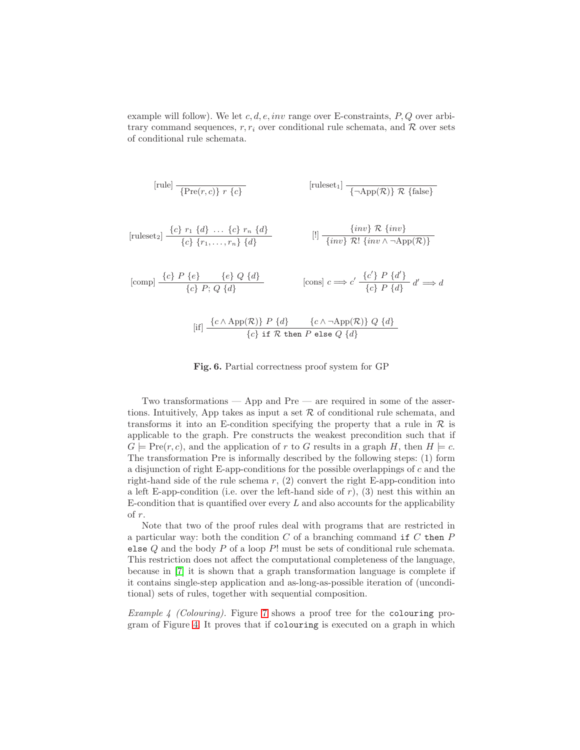example will follow). We let c, d, e, inv range over E-constraints,  $P, Q$  over arbitrary command sequences,  $r, r_i$  over conditional rule schemata, and  $\mathcal R$  over sets of conditional rule schemata.

$$
[\text{rule}] \frac{\{rule\}}{\{Pre(r, c)\}} \frac{\{r \} \left\{r \} \left\{r \} \left\{r \} \right\}}{\{c\} \left\{r \} \left\{r \} \right\}} \right] \frac{\{r \} \left\{r \} \left\{r \} \right\}}{\{c\} \left\{r \} \left\{r \} \right\}} \right]
$$
\n
$$
[\text{ruleset}_2] \frac{\{c\} \ r_1 \{d\} \ \ldots \{c\} \ r_n \{d\}}{\{c\} \{r \} \{r \} \ldots, r_n \} \{d\}} \qquad [\text{!}]\n\frac{\{inv\} \mathcal{R} \{inv\}}{\{inv\} \mathcal{R}! \{inv \} \wedge \neg \text{App}(\mathcal{R})\}}\n[\text{comp}] \frac{\{c\} \ P \{e\} \quad \{e\} \ Q \{d\}}{\{c\} \ P; Q \{d\}} \qquad [\text{cons}] \ c \Longrightarrow c' \frac{\{c'\} \ P \{d'\}}{\{c\} \ P \{d\}} d' \Longrightarrow d
$$
\n
$$
[\text{if}] \frac{\{c \land \text{App}(\mathcal{R})\} \ P \{d\}}{\{c\} \text{ if } \mathcal{R} \text{ then } P \text{ else } Q \{d\}}
$$

<span id="page-8-0"></span>Fig. 6. Partial correctness proof system for GP

Two transformations  $-$  App and Pre  $-$  are required in some of the assertions. Intuitively, App takes as input a set  $\mathcal R$  of conditional rule schemata, and transforms it into an E-condition specifying the property that a rule in  $\mathcal R$  is applicable to the graph. Pre constructs the weakest precondition such that if  $G \models \text{Pre}(r, c)$ , and the application of r to G results in a graph H, then  $H \models c$ . The transformation Pre is informally described by the following steps: (1) form a disjunction of right E-app-conditions for the possible overlappings of  $c$  and the right-hand side of the rule schema  $r$ ,  $(2)$  convert the right E-app-condition into a left E-app-condition (i.e. over the left-hand side of  $r$ ), (3) nest this within an E-condition that is quantified over every  $L$  and also accounts for the applicability of r.

Note that two of the proof rules deal with programs that are restricted in a particular way: both the condition C of a branching command if C then  $P$ else  $Q$  and the body  $P$  of a loop  $P!$  must be sets of conditional rule schemata. This restriction does not affect the computational completeness of the language, because in [\[7\]](#page-15-12) it is shown that a graph transformation language is complete if it contains single-step application and as-long-as-possible iteration of (unconditional) sets of rules, together with sequential composition.

Example 4 (Colouring). Figure [7](#page-9-1) shows a proof tree for the colouring program of Figure [4.](#page-5-1) It proves that if colouring is executed on a graph in which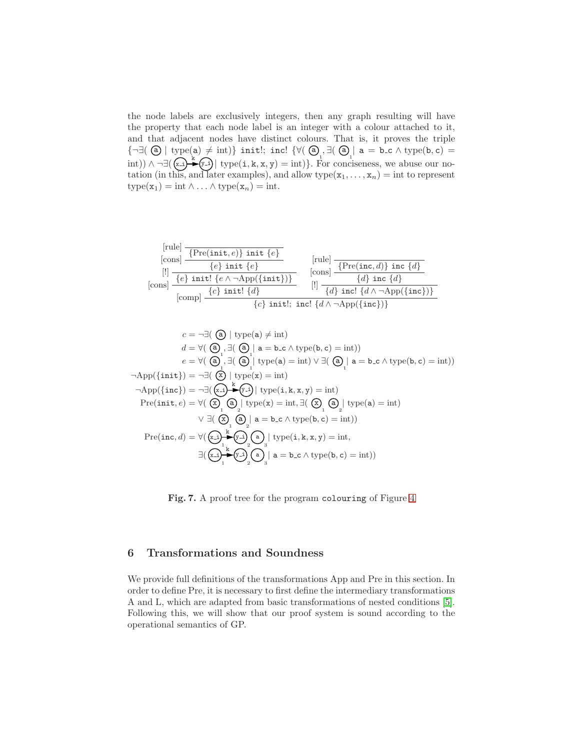the node labels are exclusively integers, then any graph resulting will have the property that each node label is an integer with a colour attached to it, and that adjacent nodes have distinct colours. That is, it proves the triple {¬∃( a | type(a) 6= int)} init!; inc! {∀( a 1 , ∃( a 1 | a = b c ∧ type(b, c) =  $\text{int}(\mathbf{x}) \wedge \neg \exists (\mathbf{x} \rightarrow \mathbf{k} \mathbf{y} \rightarrow \mathbf{k})$  [ type(i, k, x, y) = int). For conciseness, we abuse our notation (in this, and later examples), and allow  $type(x_1, ..., x_n) = int$  to represent  $type(x_1) = int \wedge ... \wedge type(x_n) = int.$ 

$$
\begin{array}{|l|l|} \hline \text{[rule]} & \hline \text{[rule]} \\ \hline \text{[cons]} & \hline \{P \text{re}(\text{init}, e) \} \text{ init} \{e\} \\ \hline \{e\} \text{ init} \{e\} \\ \hline \text{[cons]} & \hline \{e\} \text{ init!} \{e \wedge \neg \text{App}(\{\text{init}\})\} \\ \hline \text{[cons]} & \hline \{e\} \text{ init!} \{d\} \\ \hline \text{[comp]} & \hline \{e\} \text{ init!} \{d\} \\ \hline \{e\} \text{ init!} \{d\} \\ \hline \{e\} \text{ init!}; \text{ incl} \{d \wedge \neg \text{App}(\{\text{inc}\})\} \end{array}
$$

c = ¬∃( a | type(a) 6= int) d = ∀( a 1 , ∃( a 1 | a = b c ∧ type(b, c) = int)) e = ∀( a 1 , ∃( a 1 | type(a) = int) ∨ ∃( a 1 | a = b c ∧ type(b, c) = int)) ¬App({init}) = ¬∃( x | type(x) = int) ¬App({inc}) = ¬∃( x i y i k | type(i, k, x, y) = int) Pre(init, e) = ∀( x 1 a 2 | type(x) = int, ∃( x 1 a 2 | type(a) = int) ∨ ∃( x 1 a 2 | a = b c ∧ type(b, c) = int)) Pre(inc, d) = ∀( x i y i a 1 2 3 k | type(i, k, x, y) = int, ∃( x i y i a 1 2 3 k | a = b c ∧ type(b, c) = int))

<span id="page-9-1"></span>Fig. 7. A proof tree for the program colouring of Figure [4](#page-5-1)

## <span id="page-9-0"></span>6 Transformations and Soundness

<span id="page-9-2"></span>We provide full definitions of the transformations App and Pre in this section. In order to define Pre, it is necessary to first define the intermediary transformations A and L, which are adapted from basic transformations of nested conditions [\[5\]](#page-14-2). Following this, we will show that our proof system is sound according to the operational semantics of GP.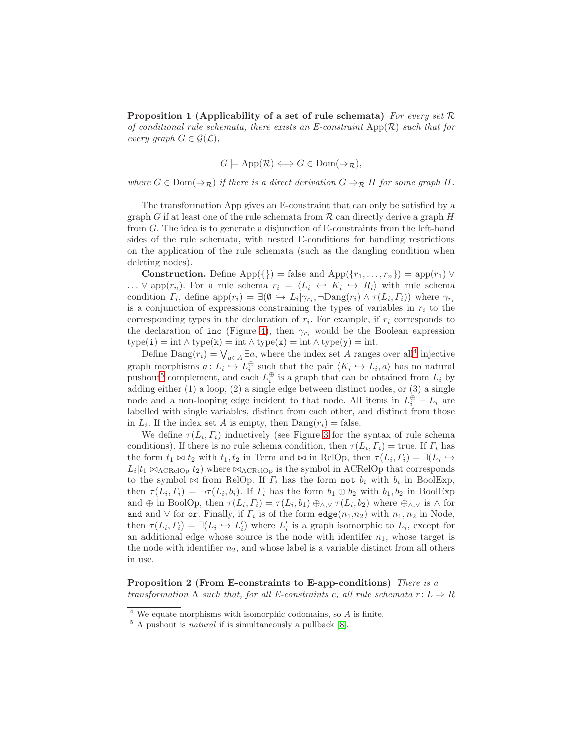Proposition 1 (Applicability of a set of rule schemata) For every set  $\mathcal R$ of conditional rule schemata, there exists an E-constraint  $\mathrm{App}(\mathcal{R})$  such that for every graph  $G \in \mathcal{G}(\mathcal{L}),$ 

$$
G \models \mathrm{App}(\mathcal{R}) \Longleftrightarrow G \in \mathrm{Dom}(\Rightarrow_{\mathcal{R}}),
$$

where  $G \in \text{Dom}(\Rightarrow_{\mathcal{R}})$  if there is a direct derivation  $G \Rightarrow_{\mathcal{R}} H$  for some graph H.

The transformation App gives an E-constraint that can only be satisfied by a graph G if at least one of the rule schemata from  $\mathcal R$  can directly derive a graph H from G. The idea is to generate a disjunction of E-constraints from the left-hand sides of the rule schemata, with nested E-conditions for handling restrictions on the application of the rule schemata (such as the dangling condition when deleting nodes).

Construction. Define App( $\{\}\$ ) = false and App $(\{r_1, \ldots, r_n\}) = \text{app}(r_1) \vee$ ...  $\vee$  app $(r_n)$ . For a rule schema  $r_i = \langle L_i \leftrightarrow K_i \leftrightarrow R_i \rangle$  with rule schema condition  $\Gamma_i$ , define  $\text{app}(r_i) = \exists (\emptyset \hookrightarrow L_i | \gamma_{r_i}, \neg \text{Dang}(r_i) \wedge \tau(L_i, \Gamma_i))$  where  $\gamma_{r_i}$ is a conjunction of expressions constraining the types of variables in  $r_i$  to the corresponding types in the declaration of  $r_i$ . For example, if  $r_i$  corresponds to the declaration of inc (Figure [4\)](#page-5-1), then  $\gamma_{r_i}$  would be the Boolean expression  $type(i) = int \wedge type(k) = int \wedge type(x) = int \wedge type(y) = int.$ 

Define Dang $(r_i) = \bigvee_{a \in A} \exists a$ , where the index set A ranges over all<sup>[4](#page-10-0)</sup> injective graph morphisms  $a: L_i \hookrightarrow L_i^{\oplus}$  such that the pair  $\langle K_i \hookrightarrow L_i, a \rangle$  has no natural pushout<sup>[5](#page-10-1)</sup> complement, and each  $L_i^{\oplus}$  is a graph that can be obtained from  $L_i$  by adding either (1) a loop, (2) a single edge between distinct nodes, or (3) a single node and a non-looping edge incident to that node. All items in  $L_i^{\oplus} - L_i$  are labelled with single variables, distinct from each other, and distinct from those in  $L_i$ . If the index set A is empty, then  $\text{Dang}(r_i) = \text{false}$ .

We define  $\tau(L_i, \Gamma_i)$  inductively (see Figure [3](#page-4-0) for the syntax of rule schema conditions). If there is no rule schema condition, then  $\tau(L_i, \Gamma_i) = \text{true}$ . If  $\Gamma_i$  has the form  $t_1 \bowtie t_2$  with  $t_1, t_2$  in Term and  $\bowtie$  in RelOp, then  $\tau(L_i, \Gamma_i) = \exists (L_i \hookrightarrow$  $L_i|t_1 \bowtie_{\text{ACRelOp}} t_2$ ) where  $\bowtie_{\text{ACRelOp}}$  is the symbol in ACRelOp that corresponds to the symbol  $\bowtie$  from RelOp. If  $\Gamma_i$  has the form not  $b_i$  with  $b_i$  in BoolExp, then  $\tau(L_i, \Gamma_i) = \tau(L_i, b_i)$ . If  $\Gamma_i$  has the form  $b_1 \oplus b_2$  with  $b_1, b_2$  in BoolExp and  $\oplus$  in BoolOp, then  $\tau(L_i, \Gamma_i) = \tau(L_i, b_1) \oplus_{\land,\lor} \tau(L_i, b_2)$  where  $\oplus_{\land,\lor}$  is  $\land$  for and and  $\vee$  for or. Finally, if  $\Gamma_i$  is of the form  $\text{edge}(n_1,n_2)$  with  $n_1,n_2$  in Node, then  $\tau(L_i, \Gamma_i) = \exists (L_i \hookrightarrow L'_i)$  where  $L'_i$  is a graph isomorphic to  $L_i$ , except for an additional edge whose source is the node with identifer  $n_1$ , whose target is the node with identifier  $n_2$ , and whose label is a variable distinct from all others in use.

Proposition 2 (From E-constraints to E-app-conditions) There is a transformation A such that, for all E-constraints c, all rule schemata  $r: L \Rightarrow R$ 

 $4$  We equate morphisms with isomorphic codomains, so A is finite.

<span id="page-10-1"></span><span id="page-10-0"></span> $5$  A pushout is *natural* if is simultaneously a pullback [\[8\]](#page-15-11).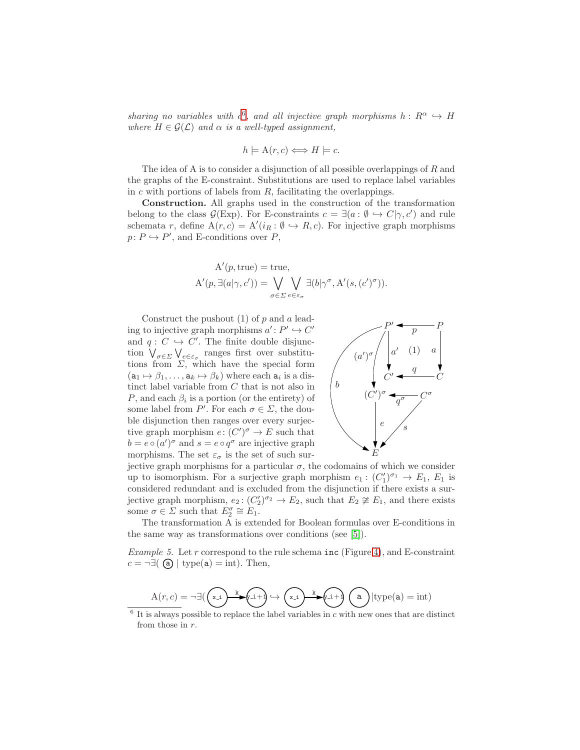sharing no variables with  $c^6$  $c^6$ , and all injective graph morphisms  $h: R^{\alpha} \hookrightarrow H$ where  $H \in \mathcal{G}(\mathcal{L})$  and  $\alpha$  is a well-typed assignment,

$$
h \models A(r, c) \Longleftrightarrow H \models c.
$$

The idea of A is to consider a disjunction of all possible overlappings of R and the graphs of the E-constraint. Substitutions are used to replace label variables in  $c$  with portions of labels from  $R$ , facilitating the overlappings.

Construction. All graphs used in the construction of the transformation belong to the class  $\mathcal{G}(\text{Exp})$ . For E-constraints  $c = \exists (a : \emptyset \hookrightarrow C | \gamma, c')$  and rule schemata r, define  $A(r, c) = A'(i_R : \emptyset \hookrightarrow R, c)$ . For injective graph morphisms  $p: P \hookrightarrow P'$ , and E-conditions over P,

$$
A'(p, true) = true,
$$
  
\n
$$
A'(p, \exists (a | \gamma, c')) = \bigvee_{\sigma \in \Sigma} \bigvee_{e \in \varepsilon_{\sigma}} \exists (b | \gamma^{\sigma}, A'(s, (c')^{\sigma})).
$$

Construct the pushout  $(1)$  of p and a leading to injective graph morphisms  $a' : P' \hookrightarrow C'$ and  $q: C \hookrightarrow C'$ . The finite double disjunction  $\bigvee_{\sigma \in \Sigma} \bigvee_{e \in \varepsilon_{\sigma}}$  ranges first over substitutions from  $\Sigma$ , which have the special form  $(a_1 \mapsto \beta_1, \dots, a_k \mapsto \beta_k)$  where each  $a_i$  is a distinct label variable from C that is not also in P, and each  $\beta_i$  is a portion (or the entirety) of some label from P'. For each  $\sigma \in \Sigma$ , the double disjunction then ranges over every surjective graph morphism  $e: (C')^{\sigma} \to E$  such that  $b = e \circ (a')^{\sigma}$  and  $s = e \circ q^{\sigma}$  are injective graph morphisms. The set  $\varepsilon_{\sigma}$  is the set of such sur-



jective graph morphisms for a particular  $\sigma$ , the codomains of which we consider up to isomorphism. For a surjective graph morphism  $e_1: (C'_1)^{\sigma_1} \to E_1$ ,  $E_1$  is considered redundant and is excluded from the disjunction if there exists a surjective graph morphism,  $e_2: (C'_2)^{\sigma_2} \to E_2$ , such that  $E_2 \ncong E_1$ , and there exists some  $\sigma \in \Sigma$  such that  $E_2^{\sigma} \cong E_1$ .

<span id="page-11-1"></span>The transformation A is extended for Boolean formulas over E-conditions in the same way as transformations over conditions (see [\[5\]](#page-14-2)).

*Example 5.* Let  $r$  correspond to the rule schema inc (Figure [4\)](#page-5-1), and E-constraint  $c = \neg \exists (\bigcirc \mathsf{a}) \mid \text{type}(\mathsf{a}) = \text{int}$ . Then,

$$
\underline{A}(r,c) = \neg \exists (\overbrace{x.i} \xrightarrow{k} \overbrace{v.i+1} \hookrightarrow \overbrace{x.i} \xrightarrow{k} \overbrace{v.i+1} \overbrace{a}) | type(a) = int)
$$

<span id="page-11-0"></span> $6$  It is always possible to replace the label variables in  $c$  with new ones that are distinct from those in  $r$ .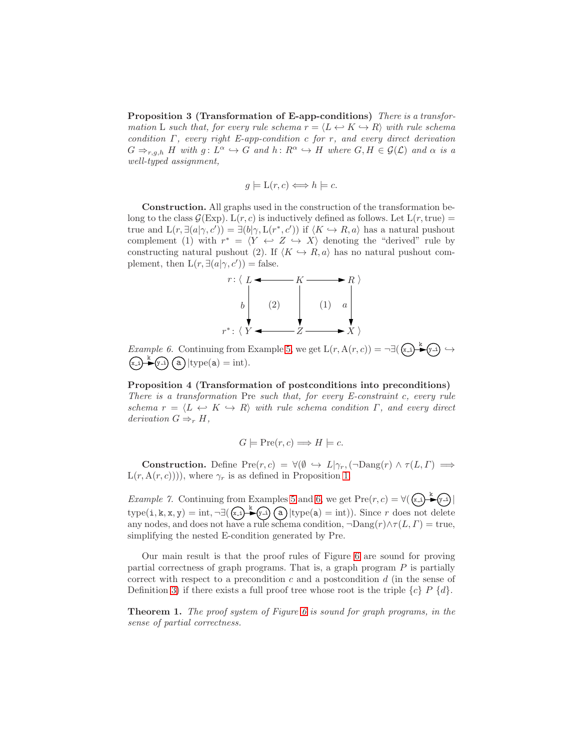Proposition 3 (Transformation of E-app-conditions) There is a transformation L such that, for every rule schema  $r = \langle L \leftrightarrow K \to R \rangle$  with rule schema condition  $\Gamma$ , every right E-app-condition c for r, and every direct derivation  $G \Rightarrow_{r,g,h} H$  with  $g: L^{\alpha} \hookrightarrow G$  and  $h: R^{\alpha} \hookrightarrow H$  where  $G, H \in \mathcal{G}(\mathcal{L})$  and  $\alpha$  is a well-typed assignment,

$$
g \models L(r, c) \Longleftrightarrow h \models c.
$$

Construction. All graphs used in the construction of the transformation belong to the class  $G(\text{Exp})$ .  $L(r, c)$  is inductively defined as follows. Let  $L(r, true)$ true and  $L(r, \exists (a|\gamma, c')) = \exists (b|\gamma, L(r^*, c'))$  if  $\langle K \hookrightarrow R, a \rangle$  has a natural pushout complement (1) with  $r^* = \langle Y \leftrightarrow Z \leftrightarrow X \rangle$  denoting the "derived" rule by constructing natural pushout (2). If  $\langle K \hookrightarrow R, a \rangle$  has no natural pushout complement, then  $L(r, \exists (a | \gamma, c')) =$  false.



<span id="page-12-0"></span>Example 6. Continuing from Example [5,](#page-11-1) we get  $L(r, A(r, c)) = \neg \exists (\overbrace{x_i}^k \overbrace{y_i}^k) \hookrightarrow$  $\lim_{x \to 0} \frac{k}{e^x}$  (a)  $\lim_{x \to 0} (a) = \text{int}.$ 

<span id="page-12-1"></span>Proposition 4 (Transformation of postconditions into preconditions) There is a transformation Pre such that, for every E-constraint c, every rule schema  $r = \langle L \leftrightarrow K \to R \rangle$  with rule schema condition Γ, and every direct derivation  $G \Rightarrow_{r} H$ ,

$$
G \models \text{Pre}(r, c) \Longrightarrow H \models c.
$$

**Construction.** Define  $Pre(r, c) = \forall (\emptyset \leftrightarrow L | \gamma_r, (\neg \text{Dang}(r) \land \tau(L, \Gamma)) \implies$  $L(r, A(r, c))))$ , where  $\gamma_r$  is as defined in Proposition [1.](#page-9-2)

*Example 7.* Continuing from Examples [5](#page-11-1) and [6,](#page-12-0) we get  $\text{Pre}(r, c) = \forall (\vec{x} \cdot \vec{i}) \cdot \vec{F}(\vec{y} \cdot \vec{i})$  $type(i, k, x, y) = int, \neg \exists (\overbrace{x_i}^k \overbrace{y_i}^k \overbrace{a}) | type(a) = int)$ . Since r does not delete any nodes, and does not have a rule schema condition,  $\neg$ Dang $(r) \wedge \tau(L, \Gamma) = \text{true}$ , simplifying the nested E-condition generated by Pre.

Our main result is that the proof rules of Figure [6](#page-8-0) are sound for proving partial correctness of graph programs. That is, a graph program  $P$  is partially correct with respect to a precondition c and a postcondition  $d$  (in the sense of Definition [3\)](#page-7-1) if there exists a full proof tree whose root is the triple  $\{c\} P \{d\}$ .

**Theorem 1.** The proof system of Figure [6](#page-8-0) is sound for graph programs, in the sense of partial correctness.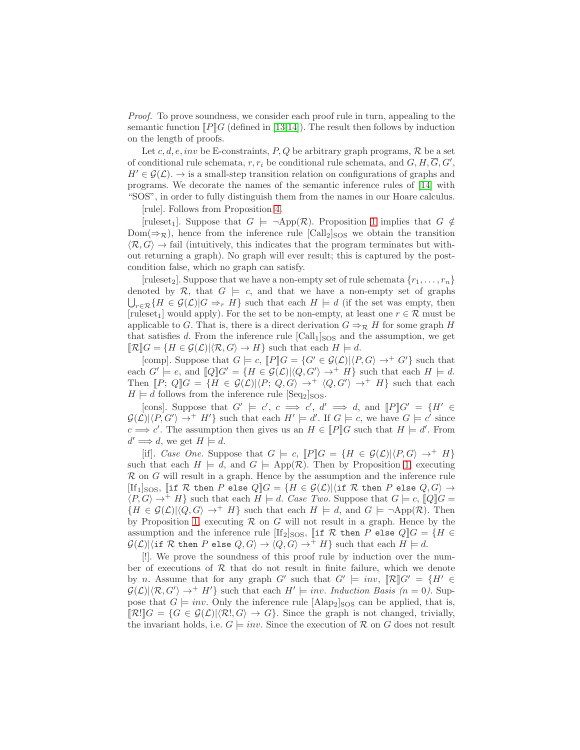Proof. To prove soundness, we consider each proof rule in turn, appealing to the semantic function  $[ P ] G$  (defined in [\[13,](#page-15-6)[14\]](#page-15-9)). The result then follows by induction on the length of proofs.

Let c, d, e, inv be E-constraints, P, Q be arbitrary graph programs,  $\mathcal{R}$  be a set of conditional rule schemata,  $r, r_i$  be conditional rule schemata, and  $G, H, \overline{G}, G'$ ,  $H' \in \mathcal{G}(\mathcal{L})$ .  $\rightarrow$  is a small-step transition relation on configurations of graphs and programs. We decorate the names of the semantic inference rules of [\[14\]](#page-15-9) with "SOS", in order to fully distinguish them from the names in our Hoare calculus.

[rule]. Follows from Proposition [4.](#page-12-1)

[ruleset<sub>1</sub>]. Suppose that  $G \models \neg \text{App}(\mathcal{R})$ . Proposition [1](#page-9-2) implies that  $G \notin$ Dom( $\Rightarrow$ <sub>R</sub>), hence from the inference rule [Call<sub>2</sub>]<sub>SOS</sub> we obtain the transition  $\langle \mathcal{R}, G \rangle \to \text{fail}$  (intuitively, this indicates that the program terminates but without returning a graph). No graph will ever result; this is captured by the postcondition false, which no graph can satisfy.

[ruleset<sub>2</sub>]. Suppose that we have a non-empty set of rule schemata  $\{r_1, \ldots, r_n\}$ denoted by  $\mathcal{R}$ , that  $G \models c$ , and that we have a non-empty set of graphs  $\bigcup_{r\in\mathcal{R}}\{H\in\mathcal{G}(\mathcal{L})|G\Rightarrow_{r}H\}$  such that each  $H\models d$  (if the set was empty, then [ruleset<sub>1</sub>] would apply). For the set to be non-empty, at least one  $r \in \mathcal{R}$  must be applicable to G. That is, there is a direct derivation  $G \Rightarrow_{\mathcal{R}} H$  for some graph H that satisfies d. From the inference rule  $\text{[Call}_\text{1SOS}$  and the assumption, we get  $[\![\mathcal{R}]\!] G = \{H \in \mathcal{G}(\mathcal{L}) | \langle \mathcal{R}, G \rangle \to H\}$  such that each  $H \models d$ .

[comp]. Suppose that  $G \models c$ ,  $[ P \parallel G = \{ G' \in \mathcal{G}(\mathcal{L}) | \langle P, G \rangle \rightarrow^+ G' \}$  such that each  $G' \models e$ , and  $[\![Q]\!] G' = \{H \in \mathcal{G}(\mathcal{L}) | \langle Q, G' \rangle \rightarrow^+ H\}$  such that each  $H \models d$ . Then  $[P; Q]G = \{H \in \mathcal{G}(\mathcal{L}) | \langle P; Q, G \rangle \rightarrow^+ \langle Q, G' \rangle \rightarrow^+ H\}$  such that each  $H \models d$  follows from the inference rule [Seq<sub>2</sub>]<sub>SOS</sub>.

[cons]. Suppose that  $G' \models c'$ ,  $c \implies c'$ ,  $d' \implies d$ , and  $[P]G' = \{H' \in$  $\mathcal{G}(\mathcal{L})|\langle P,G'\rangle \to^+ H'$  such that each  $H' \models d'$ . If  $G \models c$ , we have  $G \models c'$  since  $c \Longrightarrow c'$ . The assumption then gives us an  $H \in [P]$  G such that  $H \models d'$ . From  $d' \Longrightarrow d$ , we get  $H \models d$ .

[if]. Case One. Suppose that  $G \models c$ ,  $[ P \mid G = \{ H \in \mathcal{G}(\mathcal{L}) | \langle P, G \rangle \rightarrow^+ H \}$ such that each  $H \models d$ , and  $G \models App(\mathcal{R})$ . Then by Proposition [1,](#page-9-2) executing  $\mathcal R$  on  $G$  will result in a graph. Hence by the assumption and the inference rule  $[If_1]_{SOS}$ , if R then P else  $Q||G = {H \in \mathcal{G}(\mathcal{L})}$  (if R then P else  $Q, G \rightarrow$  $\langle P, G \rangle \rightarrow^+ H$  such that each  $H \models d$ . Case Two. Suppose that  $G \models c$ ,  $\llbracket Q \rrbracket G =$  ${H \in \mathcal{G}(\mathcal{L})|\langle Q, G \rangle \rightarrow^+ H}$  such that each  $H \models d$ , and  $G \models \neg \text{App}(\mathcal{R})$ . Then by Proposition [1,](#page-9-2) executing  $\mathcal R$  on  $G$  will not result in a graph. Hence by the assumption and the inference rule  $[\text{If}_2]_{\text{SOS}}$ ,  $[\text{if } \mathcal{R} \text{ then } P \text{ else } Q]G = \{H \in$  $\mathcal{G}(\mathcal{L})|\{\text{if } \mathcal{R} \text{ then } P \text{ else } Q, G\rangle \rightarrow \langle Q, G\rangle \rightarrow^+ H\} \text{ such that each } H \models d.$ 

[!]. We prove the soundness of this proof rule by induction over the number of executions of  $R$  that do not result in finite failure, which we denote by n. Assume that for any graph G' such that  $G' \models inv, \llbracket \mathcal{R} \rrbracket G' = \{H' \in \mathcal{R} \}$  $\mathcal{G}(\mathcal{L})|\langle \mathcal{R}, G'\rangle \rightarrow^+ H'\}$  such that each  $H' \models inv$ . Induction Basis  $(n = 0)$ . Suppose that  $G \models inv$ . Only the inference rule  $[Alap_2]_{SOS}$  can be applied, that is,  $\mathbb{R} \mathbb{R} \mathbb{R} \subset G \in \mathcal{G}(\mathcal{L}) \setminus \mathcal{R} \subset G$ . Since the graph is not changed, trivially, the invariant holds, i.e.  $G \models inv$ . Since the execution of R on G does not result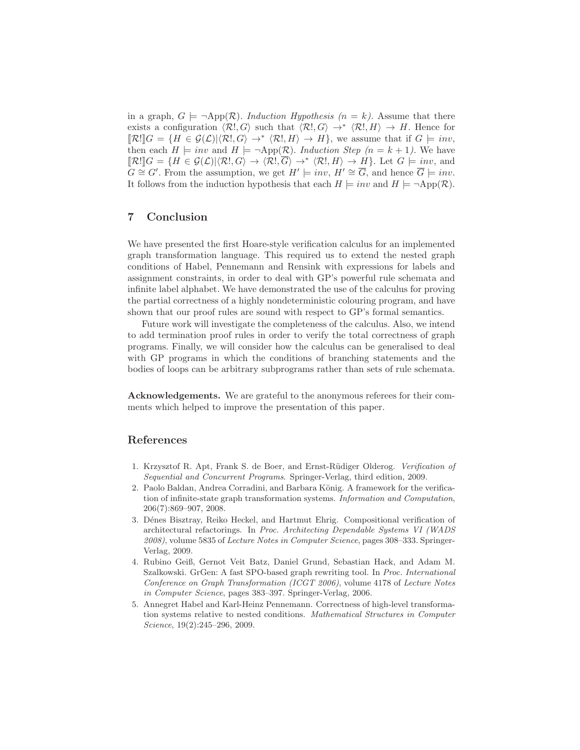in a graph,  $G \models \neg \text{App}(\mathcal{R})$ . Induction Hypothesis  $(n = k)$ . Assume that there exists a configuration  $\langle \mathcal{R}^1, G \rangle$  such that  $\langle \mathcal{R}^1, G \rangle \to^* \langle \mathcal{R}^1, H \rangle \to H$ . Hence for  $\llbracket \mathcal{R} \rrbracket G = \{ H \in \mathcal{G}(\mathcal{L}) | \langle \mathcal{R} \cdot, G \rangle \to^* \langle \mathcal{R} \cdot, H \rangle \to H \},$  we assume that if  $G \models inv$ , then each  $H \models inv$  and  $H \models \neg \text{App}(\mathcal{R})$ . Induction Step  $(n = k + 1)$ . We have  $[\![\mathcal{R}!\!] G = \{H \in \mathcal{G}(\mathcal{L}) | \langle \mathcal{R}!, G \rangle \to \langle \mathcal{R}!, \overline{G} \rangle \to^* \langle \mathcal{R}!, H \rangle \to H \}.$  Let  $G \models inv$ , and  $G \cong G'$ . From the assumption, we get  $H' \models inv$ ,  $H' \cong \overline{G}$ , and hence  $\overline{G} \models inv$ . It follows from the induction hypothesis that each  $H \models inv$  and  $H \models \neg \text{App}(\mathcal{R})$ .

## <span id="page-14-4"></span>7 Conclusion

We have presented the first Hoare-style verification calculus for an implemented graph transformation language. This required us to extend the nested graph conditions of Habel, Pennemann and Rensink with expressions for labels and assignment constraints, in order to deal with GP's powerful rule schemata and infinite label alphabet. We have demonstrated the use of the calculus for proving the partial correctness of a highly nondeterministic colouring program, and have shown that our proof rules are sound with respect to GP's formal semantics.

Future work will investigate the completeness of the calculus. Also, we intend to add termination proof rules in order to verify the total correctness of graph programs. Finally, we will consider how the calculus can be generalised to deal with GP programs in which the conditions of branching statements and the bodies of loops can be arbitrary subprograms rather than sets of rule schemata.

Acknowledgements. We are grateful to the anonymous referees for their comments which helped to improve the presentation of this paper.

### References

- <span id="page-14-5"></span>1. Krzysztof R. Apt, Frank S. de Boer, and Ernst-R¨udiger Olderog. Verification of Sequential and Concurrent Programs. Springer-Verlag, third edition, 2009.
- <span id="page-14-0"></span>2. Paolo Baldan, Andrea Corradini, and Barbara König. A framework for the verification of infinite-state graph transformation systems. Information and Computation, 206(7):869–907, 2008.
- <span id="page-14-1"></span>3. Dénes Bisztray, Reiko Heckel, and Hartmut Ehrig. Compositional verification of architectural refactorings. In Proc. Architecting Dependable Systems VI (WADS 2008), volume 5835 of Lecture Notes in Computer Science, pages 308–333. Springer-Verlag, 2009.
- <span id="page-14-3"></span>4. Rubino Geiß, Gernot Veit Batz, Daniel Grund, Sebastian Hack, and Adam M. Szalkowski. GrGen: A fast SPO-based graph rewriting tool. In Proc. International Conference on Graph Transformation (ICGT 2006), volume 4178 of Lecture Notes in Computer Science, pages 383–397. Springer-Verlag, 2006.
- <span id="page-14-2"></span>5. Annegret Habel and Karl-Heinz Pennemann. Correctness of high-level transformation systems relative to nested conditions. Mathematical Structures in Computer Science, 19(2):245-296, 2009.